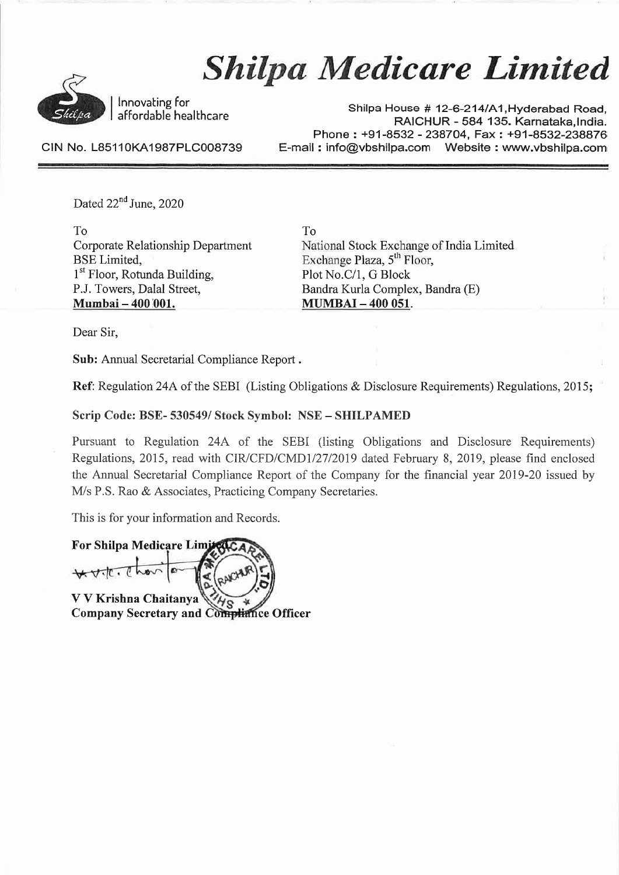

# Shilpa Medicare Limited

Innovating for affordable healthcare

Shilpa House # 12-6-214/A1, Hyderabad Road, RAICHUR - <sup>584</sup> 135. Karnataka,lndia. Phone: +91-8532 - 238704, Fax: +91-8532-238876 E-mail: info@vbshilpa.com Website: www.vbshilpa.com

CIN No. L85110KA1987PLC008739

Dated  $22<sup>nd</sup>$  June, 2020

To Corporate Relationship Department BSE Limited, 1<sup>st</sup> Floor, Rotunda Building, P.J. Towers, Dalal Street, Mumbai - 400 001.

To National Stock Exchange of India Limited Exchange Plaza,  $5<sup>th</sup>$  Floor, Plot No.C/1, G Block Bandra Kurla Complex, Bandra (E) MUMBAI - 400 051.

Dear Sir,

Sub: Annual Secretarial Compliance Report .

Ref: Regulation 24A of the SEBI (Listing Obligations & Disclosure Requirements) Regulations, 2015;

Scrip Code: BSE- 530549/ Stock Symbol: NSE - SHILPAMED

Pursuant to Regulation 24A of the SEBI (listing Obligations and Disclosure Requirements) Regulations, 2015, read with CIRJCFD/CMDl/27/2019 dated February 8, 2019, please find enclosed the Annual Secretarial Compliance Report of the Company for the financial year 2019-20 issued by M/s P.S. Rao & Associates, Practicing Company Secretaries.

This is for your information and Records.

**For Shilpa Medicare Limi**  $\forall\cdot$  to  $\in$  h

V V Krishna Chaitanya **Company Secretary and Compliance Officer**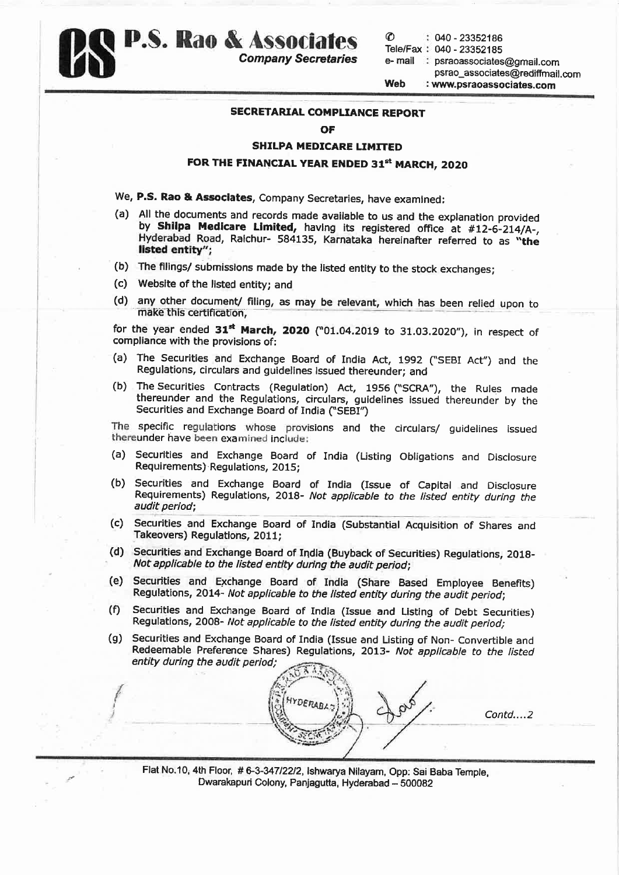

psrao\_associates@recliffmail.com Web : www.psraoassociates.com

## SECRETARIAL COMPLIANCE REPORT

#### OF

### SHILPA MEDICARE LIMITED

# FOR THE FINANCIAL YEAR ENDED 31st MARCH, 2020

- We, P.S. Rao & Associates, Company Secretaries, have examined:
- (a) All the documents and records made available to us and the explanation provided<br>by **Shilpa Medicare Limited,** having its registered office at #12-6-214/A-,<br>Hyderabad Road, Raichur- 584135, Karnataka hereinafter referre listed entity";
- (b) The filings/ submissions made by the listed entity to the stock exchanges;
- (c) Website of the listed entity; and

f I I

(d) any other document/ filing, as may be relevant, which has been relied upon to make this certification,

for the year ended  $31^{st}$  March, 2020 ("01.04.2019 to 31.03.2020"), in respect of compliance with the provisions of:

- (a) The Securities and Exchange Board of India Act, <sup>1992</sup> ("SEBI Act") and the Regulations, circulars and guidelines Issued thereunder; and
- (b) The Securities Contracts (Regulation) Act, <sup>1956</sup> ("SCRA"), the Rules made thereunder and the Regulations, circulars, guidelines issued thereunder by the Securities and Exchange Board of India ("SEBI")

The specific regulations whose provisions and the circulars/ guidelines issued thereunder have been examined include:

- (a) Securities and Exchange Board of India (Listing Obligations and Disclosure Requirements}·Regulations, 2015;
- (b) Securities and Exchange Board of India (Issue of Capital and Disclosure Requirements) Regulations, 2018- Not applicable to the listed entity during the audit period;
- (c) Securities and Exchange Board of India (Substantial Acquisition of Shares and Takeovers) Regulations, 2011;
- (d) Securities and Exchange Board of India (Buyback of Securities) Regulations, 2018- Not applicable to the listed entity during the audit period;
- (e) Securities and Exchange Board of India (Share Based Employee Benefits) Regulations, 2014- Not applicable to the listed entity during the audit period;
- (f) Securities and Exchange Board of India {Issue and Listing of Debt Securities) Regulations, 2008- Not applicable to the listed entity during the audit period;
- (g) Securities and Exchange Board of India (Issue and Listing of Non- Convertible and Redeemable Preference Shares) Regulations, 2013- Not applicable to the listed entity during the audit period;



Contd .... 2

Flat No.10, 4th Floor, #6-3-347/22/2, lshwarya Nllayam, Opp: Sai Baba Temple, Dwarakapuri Colony, Panjagutta, Hyderabad - 500082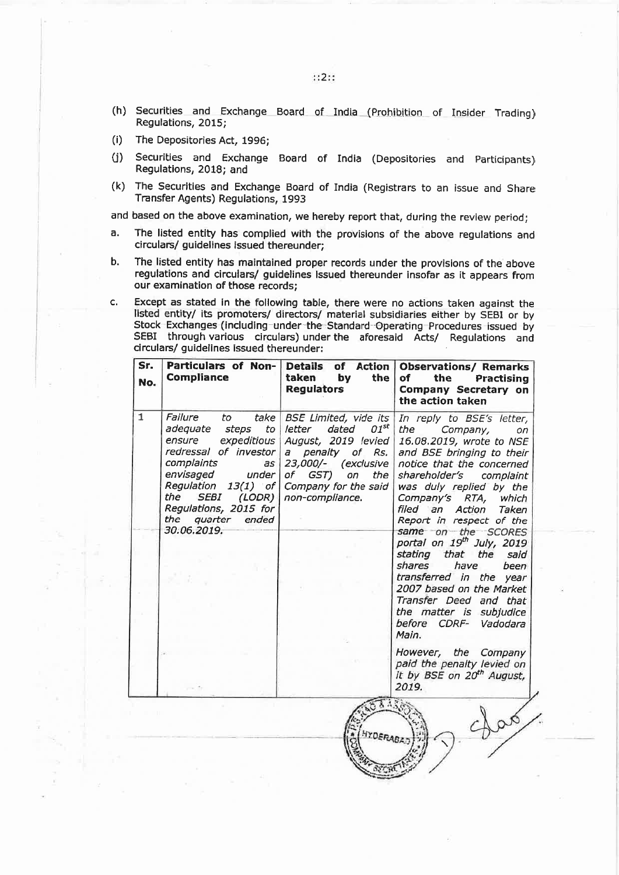- (h) Securities and Exchange Board of Indla (Prohibition of Insider Trading) Regulations, 2015;
- (i) The Depositories Act, 1996;
- U) Securities and Exchange Board of India (Depositories and Participants) Regulations, 2018; and
- (k) The Securities and Exchange Board of India (Registrars to an issue and Share Transfer Agents) Regulations, <sup>1993</sup>

and based on the above examination, we hereby repor<sup>t</sup> that, during the review period;

- a. The listed entity has complied with the provisions of the above regulations and circulars/ guidelines issued thereunder;
- b. The listed entity has maintained proper records under the provisions of the above regulations and circulars/ guidelines Issued thereunder insofar as it appears from our examination of those records;
- c. Except as stated in the following table, there were no actions taken against the listed entity/ its promoters/ directors/ material subsidiaries either by SEBI or by Stock Exchanges (including-under-the-Standard-Operating Procedures issued by SEBI through various circulars) under the aforesaid Acts/ Regulations and circulars/ guidelines issued thereunder:

| Sr.<br>No.   | Particulars of Non-<br><b>Compliance</b>                                                                                                                                                                                                                           | <b>Details</b><br><b>Action</b><br>of<br>taken<br>by<br>the<br><b>Regulators</b>                                                                                                                        | <b>Observations/ Remarks</b><br>of<br>the<br>Practising<br><b>Company Secretary on</b><br>the action taken                                                                                                                                                                                                                                                                                                                                                                                                                                  |
|--------------|--------------------------------------------------------------------------------------------------------------------------------------------------------------------------------------------------------------------------------------------------------------------|---------------------------------------------------------------------------------------------------------------------------------------------------------------------------------------------------------|---------------------------------------------------------------------------------------------------------------------------------------------------------------------------------------------------------------------------------------------------------------------------------------------------------------------------------------------------------------------------------------------------------------------------------------------------------------------------------------------------------------------------------------------|
| $\mathbf{1}$ | Failure<br>take $ $<br>to<br>adequate<br>steps to<br>expeditious<br>ensure<br>redressal of investor<br>complaints<br>as<br>envisaged<br>under l<br>Regulation 13(1) of<br>the<br>SEBI<br>(LODR)<br>Regulations, 2015 for<br>the<br>quarter<br>ended<br>30.06.2019. | <b>BSE Limited, vide its</b><br>$01^{st}$<br>letter dated<br>August, 2019 levied<br>a penalty<br>0f<br>Rs.<br>23,000/- (exclusive<br>of<br>GST)<br>on<br>the<br>Company for the said<br>non-compliance. | In reply to BSE's letter,<br>the<br>Company,<br>on<br>16.08.2019, wrote to NSE<br>and BSE bringing to their<br>notice that the concerned<br>shareholder's<br>complaint<br>was duly replied by the<br>Company's RTA,<br>which<br>filed an Action<br>Taken<br>Report in respect of the<br>same on the SCORES<br>portal on 19th July, 2019<br>stating that the<br>said<br>shares<br>have<br>been<br>transferred in the year<br>2007 based on the Market<br>Transfer Deed and that<br>the matter is subjudice<br>before CDRF- Vadodara<br>Main. |
|              |                                                                                                                                                                                                                                                                    |                                                                                                                                                                                                         | However, the Company<br>paid the penalty levied on<br>it by BSE on 20 <sup>th</sup> August,<br>2019.                                                                                                                                                                                                                                                                                                                                                                                                                                        |
|              |                                                                                                                                                                                                                                                                    | <b>HYDERABA</b>                                                                                                                                                                                         |                                                                                                                                                                                                                                                                                                                                                                                                                                                                                                                                             |